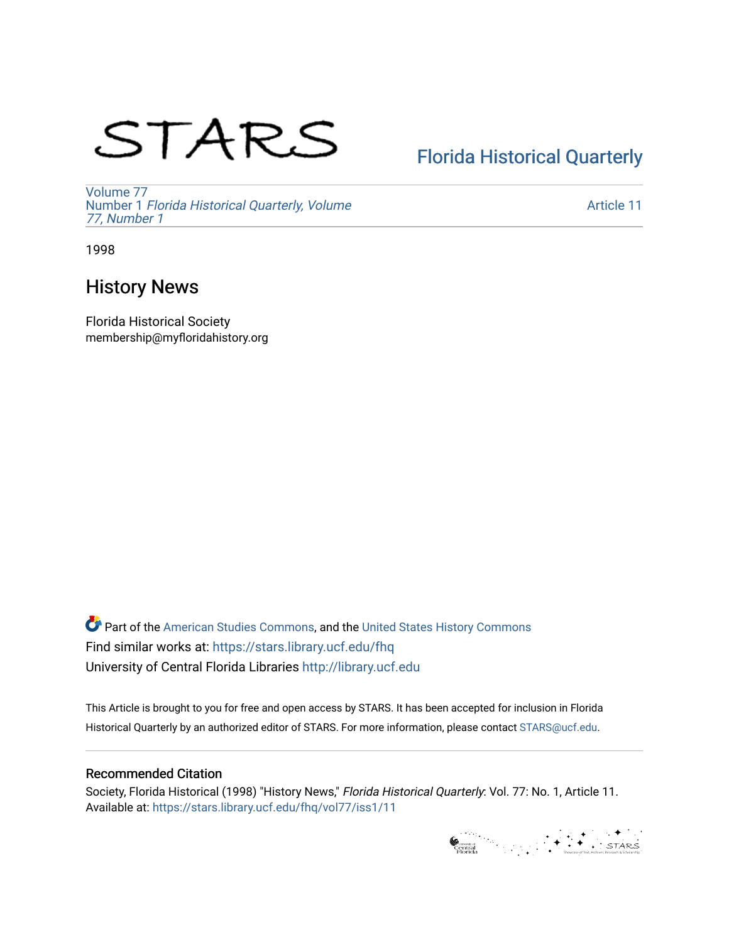# STARS

# [Florida Historical Quarterly](https://stars.library.ucf.edu/fhq)

[Volume 77](https://stars.library.ucf.edu/fhq/vol77) Number 1 [Florida Historical Quarterly, Volume](https://stars.library.ucf.edu/fhq/vol77/iss1)  [77, Number 1](https://stars.library.ucf.edu/fhq/vol77/iss1)

[Article 11](https://stars.library.ucf.edu/fhq/vol77/iss1/11) 

1998

# History News

Florida Historical Society membership@myfloridahistory.org

**C** Part of the [American Studies Commons](http://network.bepress.com/hgg/discipline/439?utm_source=stars.library.ucf.edu%2Ffhq%2Fvol77%2Fiss1%2F11&utm_medium=PDF&utm_campaign=PDFCoverPages), and the United States History Commons Find similar works at: <https://stars.library.ucf.edu/fhq> University of Central Florida Libraries [http://library.ucf.edu](http://library.ucf.edu/) 

This Article is brought to you for free and open access by STARS. It has been accepted for inclusion in Florida Historical Quarterly by an authorized editor of STARS. For more information, please contact [STARS@ucf.edu.](mailto:STARS@ucf.edu)

# Recommended Citation

Society, Florida Historical (1998) "History News," Florida Historical Quarterly: Vol. 77: No. 1, Article 11. Available at: [https://stars.library.ucf.edu/fhq/vol77/iss1/11](https://stars.library.ucf.edu/fhq/vol77/iss1/11?utm_source=stars.library.ucf.edu%2Ffhq%2Fvol77%2Fiss1%2F11&utm_medium=PDF&utm_campaign=PDFCoverPages)

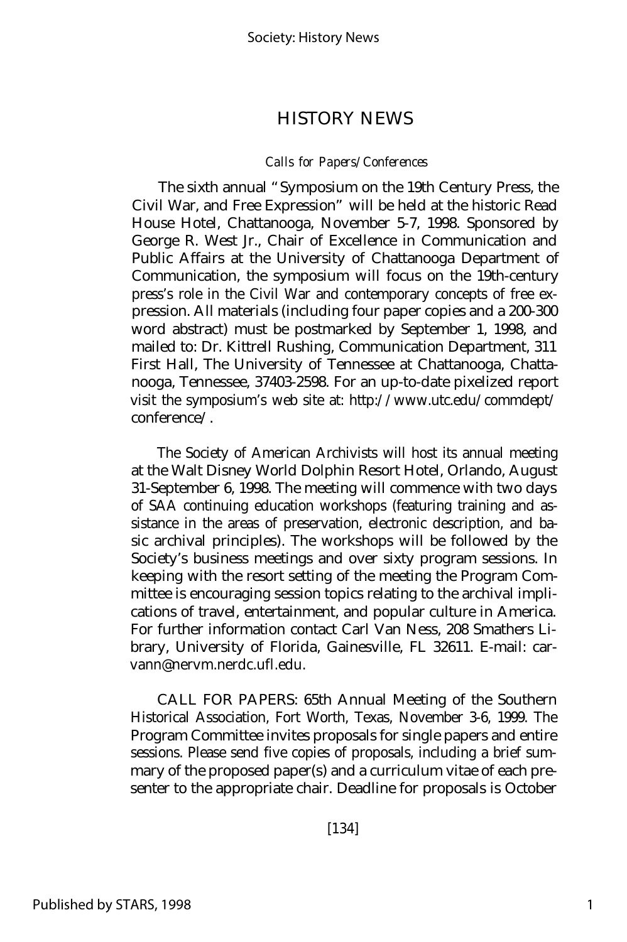## HISTORY NEWS

#### *Calls for Papers/Conferences*

The sixth annual "Symposium on the 19th Century Press, the Civil War, and Free Expression" will be held at the historic Read House Hotel, Chattanooga, November 5-7, 1998. Sponsored by George R. West Jr., Chair of Excellence in Communication and Public Affairs at the University of Chattanooga Department of Communication, the symposium will focus on the 19th-century press's role in the Civil War and contemporary concepts of free expression. All materials (including four paper copies and a 200-300 word abstract) must be postmarked by September 1, 1998, and mailed to: Dr. Kittrell Rushing, Communication Department, 311 First Hall, The University of Tennessee at Chattanooga, Chattanooga, Tennessee, 37403-2598. For an up-to-date pixelized report visit the symposium's web site at: http://www.utc.edu/commdept/ conference/.

The Society of American Archivists will host its annual meeting at the Walt Disney World Dolphin Resort Hotel, Orlando, August 31-September 6, 1998. The meeting will commence with two days of SAA continuing education workshops (featuring training and assistance in the areas of preservation, electronic description, and basic archival principles). The workshops will be followed by the Society's business meetings and over sixty program sessions. In keeping with the resort setting of the meeting the Program Committee is encouraging session topics relating to the archival implications of travel, entertainment, and popular culture in America. For further information contact Carl Van Ness, 208 Smathers Library, University of Florida, Gainesville, FL 32611. E-mail: carvann@nervm.nerdc.ufl.edu.

CALL FOR PAPERS: 65th Annual Meeting of the Southern Historical Association, Fort Worth, Texas, November 3-6, 1999. The Program Committee invites proposals for single papers and entire sessions. Please send five copies of proposals, including a brief summary of the proposed paper(s) and a curriculum vitae of each presenter to the appropriate chair. Deadline for proposals is October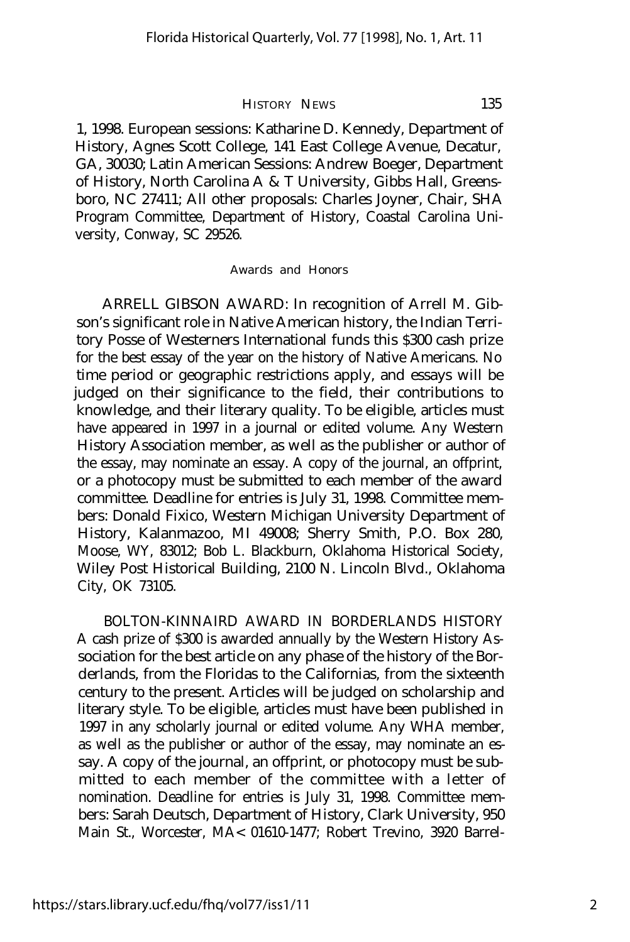### HISTORY NEWS 135

1, 1998. European sessions: Katharine D. Kennedy, Department of History, Agnes Scott College, 141 East College Avenue, Decatur, GA, 30030; Latin American Sessions: Andrew Boeger, Department of History, North Carolina A & T University, Gibbs Hall, Greensboro, NC 27411; All other proposals: Charles Joyner, Chair, SHA Program Committee, Department of History, Coastal Carolina University, Conway, SC 29526.

#### *Awards and Honors*

ARRELL GIBSON AWARD: In recognition of Arrell M. Gibson's significant role in Native American history, the Indian Territory Posse of Westerners International funds this \$300 cash prize for the best essay of the year on the history of Native Americans. No time period or geographic restrictions apply, and essays will be judged on their significance to the field, their contributions to knowledge, and their literary quality. To be eligible, articles must have appeared in 1997 in a journal or edited volume. Any Western History Association member, as well as the publisher or author of the essay, may nominate an essay. A copy of the journal, an offprint, or a photocopy must be submitted to each member of the award committee. Deadline for entries is July 31, 1998. Committee members: Donald Fixico, Western Michigan University Department of History, Kalanmazoo, MI 49008; Sherry Smith, P.O. Box 280, Moose, WY, 83012; Bob L. Blackburn, Oklahoma Historical Society, Wiley Post Historical Building, 2100 N. Lincoln Blvd., Oklahoma City, OK 73105.

BOLTON-KINNAIRD AWARD IN BORDERLANDS HISTORY A cash prize of \$300 is awarded annually by the Western History Association for the best article on any phase of the history of the Borderlands, from the Floridas to the Californias, from the sixteenth century to the present. Articles will be judged on scholarship and literary style. To be eligible, articles must have been published in 1997 in any scholarly journal or edited volume. Any WHA member, as well as the publisher or author of the essay, may nominate an essay. A copy of the journal, an offprint, or photocopy must be submitted to each member of the committee with a letter of nomination. Deadline for entries is July 31, 1998. Committee members: Sarah Deutsch, Department of History, Clark University, 950 Main St., Worcester, MA< 01610-1477; Robert Trevino, 3920 Barrel